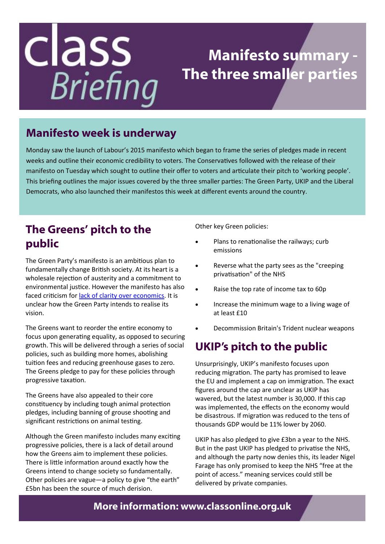## class **Briefing**

### **Manifesto summary - The three smaller parties**

#### **Manifesto week is underway**

Monday saw the launch of Labour's 2015 manifesto which began to frame the series of pledges made in recent weeks and outline their economic credibility to voters. The Conservatives followed with the release of their manifesto on Tuesday which sought to outline their offer to voters and articulate their pitch to 'working people'. This briefing outlines the major issues covered by the three smaller parties: The Green Party, UKIP and the Liberal Democrats, who also launched their manifestos this week at different events around the country.

#### **The Greens' pitch to the public**

The Green Party's manifesto is an ambitious plan to fundamentally change British society. At its heart is a wholesale rejection of austerity and a commitment to environmental justice. However the manifesto has also faced criticism for [lack of clarity over economics.](http://www.theguardian.com/commentisfree/2015/apr/14/guardian-view-green-party-manifesto-radical-v-possibility) It is unclear how the Green Party intends to realise its vision.

The Greens want to reorder the entire economy to focus upon generating equality, as opposed to securing growth. This will be delivered through a series of social policies, such as building more homes, abolishing tuition fees and reducing greenhouse gases to zero. The Greens pledge to pay for these policies through progressive taxation.

The Greens have also appealed to their core constituency by including tough animal protection pledges, including banning of grouse shooting and significant restrictions on animal testing.

Although the Green manifesto includes many exciting progressive policies, there is a lack of detail around how the Greens aim to implement these policies. There is little information around exactly how the Greens intend to change society so fundamentally. Other policies are vague—a policy to give "the earth" £5bn has been the source of much derision.

Other key Green policies:

- Plans to renationalise the railways; curb emissions
- Reverse what the party sees as the "creeping privatisation" of the NHS
- Raise the top rate of income tax to 60p
- Increase the minimum wage to a living wage of at least £10
- Decommission Britain's Trident nuclear weapons

#### **UKIP's pitch to the public**

Unsurprisingly, UKIP's manifesto focuses upon reducing migration. The party has promised to leave the EU and implement a cap on immigration. The exact figures around the cap are unclear as UKIP has wavered, but the latest number is 30,000. If this cap was implemented, the effects on the economy would be disastrous. If migration was reduced to the tens of thousands GDP would be 11% lower by 2060.

UKIP has also pledged to give £3bn a year to the NHS. But in the past UKIP has pledged to privatise the NHS, and although the party now denies this, its leader Nigel Farage has only promised to keep the NHS "free at the point of access." meaning services could still be delivered by private companies.

#### **More information: www.classonline.org.uk**